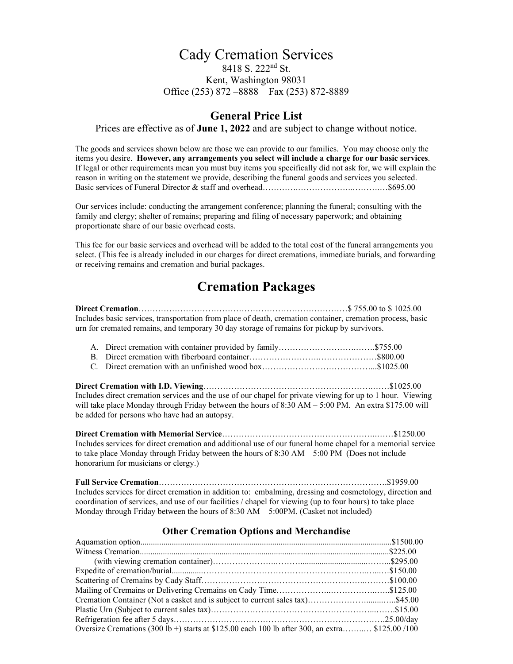### Cady Cremation Services 8418 S. 222nd St. Kent, Washington 98031 Office (253) 872 –8888 Fax (253) 872-8889

## **General Price List**

Prices are effective as of **June 1, 2022** and are subject to change without notice.

The goods and services shown below are those we can provide to our families. You may choose only the items you desire. **However, any arrangements you select will include a charge for our basic services**. If legal or other requirements mean you must buy items you specifically did not ask for, we will explain the reason in writing on the statement we provide, describing the funeral goods and services you selected. Basic services of Funeral Director & staff and overhead………….………………..……….…\$695.00

Our services include: conducting the arrangement conference; planning the funeral; consulting with the family and clergy; shelter of remains; preparing and filing of necessary paperwork; and obtaining proportionate share of our basic overhead costs.

This fee for our basic services and overhead will be added to the total cost of the funeral arrangements you select. (This fee is already included in our charges for direct cremations, immediate burials, and forwarding or receiving remains and cremation and burial packages.

# **Cremation Packages**

**Direct Cremation**…………………………………………………………………\$ 755.00 to \$ 1025.00 Includes basic services, transportation from place of death, cremation container, cremation process, basic urn for cremated remains, and temporary 30 day storage of remains for pickup by survivors.

**Direct Cremation with I.D. Viewing**…………………………………………………….……\$1025.00 Includes direct cremation services and the use of our chapel for private viewing for up to 1 hour. Viewing will take place Monday through Friday between the hours of 8:30 AM – 5:00 PM. An extra \$175.00 will be added for persons who have had an autopsy.

**Direct Cremation with Memorial Service**………………………………………………..……\$1250.00 Includes services for direct cremation and additional use of our funeral home chapel for a memorial service to take place Monday through Friday between the hours of 8:30 AM – 5:00 PM (Does not include honorarium for musicians or clergy.)

**Full Service Cremation**……………………………………………………………………….\$1959.00 Includes services for direct cremation in addition to: embalming, dressing and cosmetology, direction and coordination of services, and use of our facilities / chapel for viewing (up to four hours) to take place Monday through Friday between the hours of 8:30 AM – 5:00PM. (Casket not included)

#### **Other Cremation Options and Merchandise**

| Oversize Cremations (300 lb +) starts at \$125.00 each 100 lb after 300, an extra \$125.00 /100 |  |
|-------------------------------------------------------------------------------------------------|--|